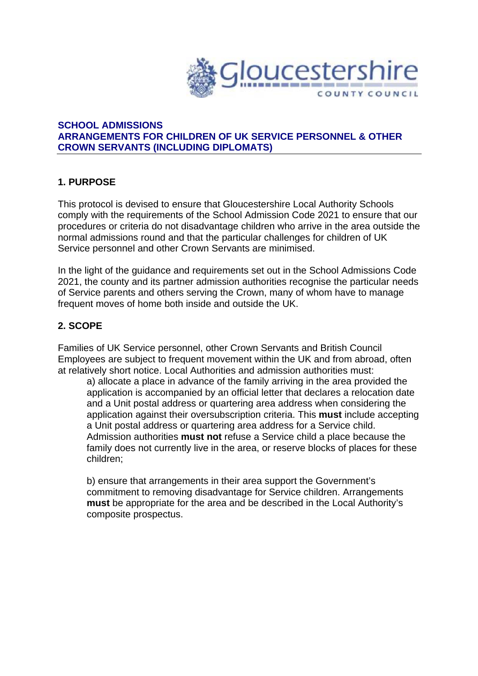

#### **SCHOOL ADMISSIONS ARRANGEMENTS FOR CHILDREN OF UK SERVICE PERSONNEL & OTHER CROWN SERVANTS (INCLUDING DIPLOMATS)**

#### **1. PURPOSE**

This protocol is devised to ensure that Gloucestershire Local Authority Schools comply with the requirements of the School Admission Code 2021 to ensure that our procedures or criteria do not disadvantage children who arrive in the area outside the normal admissions round and that the particular challenges for children of UK Service personnel and other Crown Servants are minimised.

In the light of the guidance and requirements set out in the School Admissions Code 2021, the county and its partner admission authorities recognise the particular needs of Service parents and others serving the Crown, many of whom have to manage frequent moves of home both inside and outside the UK.

## **2. SCOPE**

Families of UK Service personnel, other Crown Servants and British Council Employees are subject to frequent movement within the UK and from abroad, often at relatively short notice. Local Authorities and admission authorities must:

 a) allocate a place in advance of the family arriving in the area provided the application is accompanied by an official letter that declares a relocation date and a Unit postal address or quartering area address when considering the application against their oversubscription criteria. This **must** include accepting a Unit postal address or quartering area address for a Service child. Admission authorities **must not** refuse a Service child a place because the family does not currently live in the area, or reserve blocks of places for these children;

 b) ensure that arrangements in their area support the Government's commitment to removing disadvantage for Service children. Arrangements **must** be appropriate for the area and be described in the Local Authority's composite prospectus.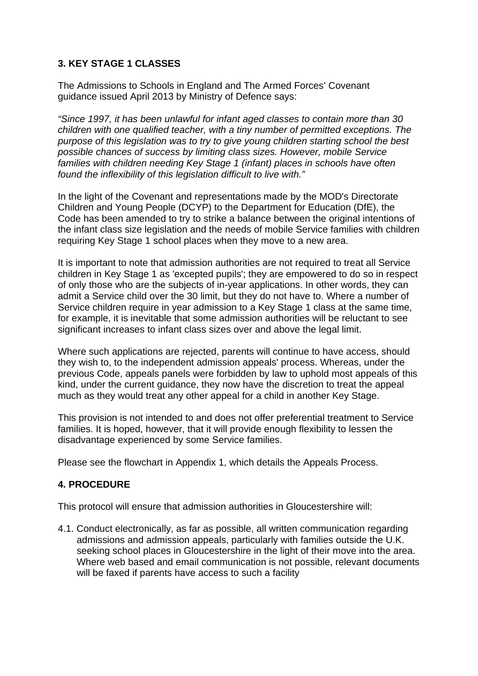## **3. KEY STAGE 1 CLASSES**

The Admissions to Schools in England and The Armed Forces' Covenant guidance issued April 2013 by Ministry of Defence says:

*"Since 1997, it has been unlawful for infant aged classes to contain more than 30 children with one qualified teacher, with a tiny number of permitted exceptions. The purpose of this legislation was to try to give young children starting school the best possible chances of success by limiting class sizes. However, mobile Service families with children needing Key Stage 1 (infant) places in schools have often found the inflexibility of this legislation difficult to live with."* 

In the light of the Covenant and representations made by the MOD's Directorate Children and Young People (DCYP) to the Department for Education (DfE), the Code has been amended to try to strike a balance between the original intentions of the infant class size legislation and the needs of mobile Service families with children requiring Key Stage 1 school places when they move to a new area.

It is important to note that admission authorities are not required to treat all Service children in Key Stage 1 as 'excepted pupils'; they are empowered to do so in respect of only those who are the subjects of in-year applications. In other words, they can admit a Service child over the 30 limit, but they do not have to. Where a number of Service children require in year admission to a Key Stage 1 class at the same time, for example, it is inevitable that some admission authorities will be reluctant to see significant increases to infant class sizes over and above the legal limit.

Where such applications are rejected, parents will continue to have access, should they wish to, to the independent admission appeals' process. Whereas, under the previous Code, appeals panels were forbidden by law to uphold most appeals of this kind, under the current guidance, they now have the discretion to treat the appeal much as they would treat any other appeal for a child in another Key Stage.

This provision is not intended to and does not offer preferential treatment to Service families. It is hoped, however, that it will provide enough flexibility to lessen the disadvantage experienced by some Service families.

Please see the flowchart in Appendix 1, which details the Appeals Process.

# **4. PROCEDURE**

This protocol will ensure that admission authorities in Gloucestershire will:

4.1. Conduct electronically, as far as possible, all written communication regarding admissions and admission appeals, particularly with families outside the U.K. seeking school places in Gloucestershire in the light of their move into the area. Where web based and email communication is not possible, relevant documents will be faxed if parents have access to such a facility